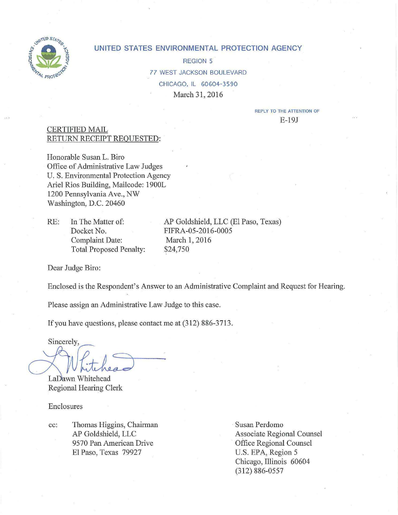

#### **UNITED STATES ENVIRONMENTAL PROTECTION AGENCY**

REGION 5 *77* WEST JACKSON BOULEVARD CHICAGO, IL 60604-3590 March 31, 2016

> REPLY TO THE ATTENTION OF E-19J

#### CERTIFIED MAIL RETURN RECEIPT REQUESTED:

Honorable Susan L. Biro Office of Administrative Law Judges U.S. Environmental Protection Agency Ariel Rios Building, Mailcode: 1900L 1200 Pennsylvania Ave., NW Washington, D.C. 20460

RE: In The Matter of: Docket No. Complaint Date: Total Proposed Penalty: \$24,750

AP Goldshield, LLC (El Paso, Texas) FIFRA-05-2016-0005 March 1, 2016

Dear Judge Biro:

Enclosed is the Respondent's Answer to an Administrative Complaint and Request for Hearing.

Please assign an Administrative Law Judge to this case.

If you have questions, please contact me at (312) 886-3713.

Sincerely,

LaDawn Whitehead Regional Hearing Clerk

Enclosures

cc: Thomas Higgins, Chairman AP Goldshield, LLC 9570 Pan American Drive El Paso, Texas 79927

· Susan Perdomo Associate Regional Counsel Office Regional Counsel U.S. EPA, Region 5 Chicago, Illinois 60604 (3 12) 886-0557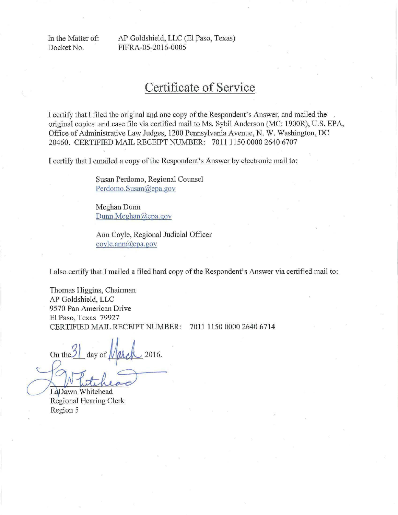In the Matter of: AP Goldshield, LLC (El Paso, Texas) Docket No. FIFRA-05-2016-0005

# **Certificate of Service**

I certify that I filed the original and one copy of the Respondent's Answer, and mailed the original copies and case file via certified mail to Ms. Sybil Anderson (MC: 1900R), U.S. EPA, Office of Administrative Law Judges, 1200 Pennsylvania Avenue, N. W. Washington, DC 20460. CERTIFIED MAIL RECEIPT NUMBER: 7011 1150 0000 2640 6707

I certify that I emailed a copy of the Respondent's Answer by electronic mail to:

Susan Perdomo, Regional Counsel Perdomo.Susan@epa.gov

Meghan Dunn Dunn.Meghan@epa.gov

Ann Coyle, Regional Judicial Officer coyle.ann@epa.gov

I also certify that I mailed a filed hard copy of the Respondent's Answer via certified mail to:

Thomas Higgins, Chairman AP Goldshield, LLC 9570 Pan American Drive El Paso, Texas 79927 CERTIFIED MAIL RECEIPT NUMBER: 7011 1150 0000 2640 6714

On the  $\ell$  day of  $\ell$   $\ell$   $\ell$   $\ell$  2016. El Paso, Texas 79927<br>
CERTIFIED MAIL RECEIPT NUMBER: 7011 1150 0000 26<br>
On the<sup>3</sup> day of March 2016.<br>
LaDawn Whitehead<br>
Regional Hearing Clerk<br>
Region 5

Region 5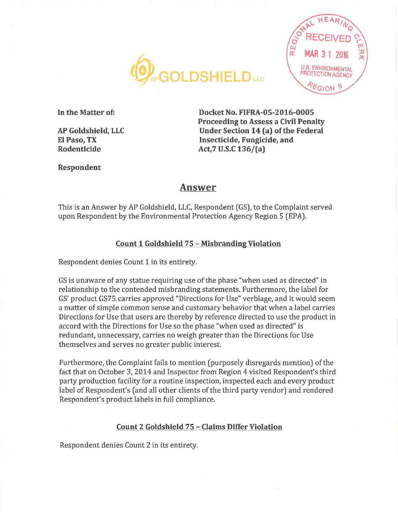



**In the Matter of:** 

**AP Goldshield, LLC El Paso, TX Rodenticide** 

**Docket No. FIFRA-05-2016-0005 Proceeding to Assess a Civil Penalty Under Section 14 (a) of the Federal Insecticide, Fungicide, and Act,7U.S.C136/(a)** 

#### **Respondent**

## **Answer**

This is an Answer by AP Goldshield, LLC, Respondent (GS), to the Complaint served upon Respondent by the Environmental Protection Agency Region 5 (EPA).

## **Count 1 Goldshield 7 5 - Misbranding Violation**

Respondent denies Count 1 in its entirety.

GS is unaware of any statue requiring use of the phase "when used as directed" in relationship to the contended misbranding statements. Furthermore, the label for GS' product GS75 carries approved "Directions for Use" verbiage, and it would seem a matter of simple common sense and customary behavior that when a label carries Directions for Use that users are thereby by reference directed to use the product in accord with the Directions for Use so the phase "when used as directed" is redundant, unnecessary, carries no weigh greater than the Directions for Use themselves and serves no greater public interest.

Furthermore, the Complaint fails to mention (purposely disregards mention) of the fact that on October 3, 2014 and Inspector from Region 4 visited Respondent's third party production facility for a routine inspection, inspected each and every product label of Respondent's (and all other clients of the third party vendor) and rendered Respondent's product labels in full compliance.

## **Count 2 Goldshield 75 - Claims Differ Violation**

Respondent denies Count 2 in its entirety.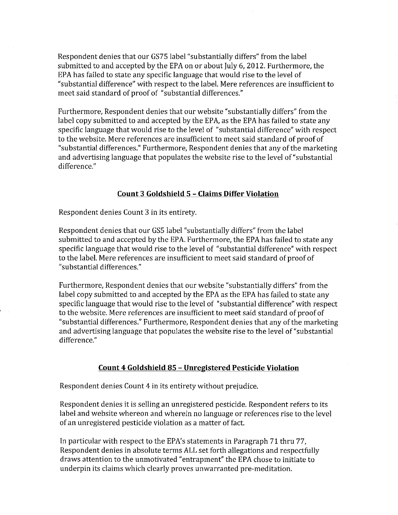Respondent denies that our GS75 label "substantially differs" from the label submitted to and accepted by the EPA on or about July 6, 2012. Furthermore, the EPA has failed to state any specific language that would rise to the level of "substantial difference" with respect to the label. Mere references are insufficient to meet said standard of proof of "substantial differences."

Furthermore, Respondent denies that our website "substantially differs" from the label copy submitted to and accepted by the EPA, as the EPA has failed to state any specific language that would rise to the level of "substantial difference" with respect to the website. Mere references are insufficient to meet said standard of proof of "substantial differences." Furthermore, Respondent denies that any of the marketing and advertising language that populates the website rise to the level of "substantial difference."

## **Count 3 Goldshield 5 - Claims Differ Violation**

Respondent denies Count 3 in its entirety.

Respondent denies that our GSS label "substantially differs" from the label submitted to and accepted by the EPA. Furthermore, the EPA has failed to state any specific language that would rise to the level of "substantial difference" with respect to the label. Mere references are insufficient to meet said standard of proof of "substantial differences."

Furthermore, Respondent denies that our website "substantially differs" from the label copy submitted to and accepted by the EPA as the EPA has failed to state any specific language that would rise to the level of "substantial difference" with respect to the website. Mere references are insufficient to meet said standard of proof of "substantial differences." Furthermore, Respondent denies that any of the marketing and advertising language that populates the website rise to the level of "substantial difference."

## **Count 4 Goldshield 85 - Unregistered Pesticide Violation**

Respondent denies Count 4 in its entirety without prejudice.

Respondent denies it is selling an unregistered pesticide. Respondent refers to its label and website whereon and wherein no language or references rise to the level of an unregistered pesticide violation as a matter of fact.

In particular with respect to the EPA's statements in Paragraph 71 thru 77, Respondent denies in absolute terms ALL set forth allegations and respectfully draws attention to the unmotivated "entrapment" the EPA chose to initiate to underpin its claims which clearly proves unwarranted pre-meditation.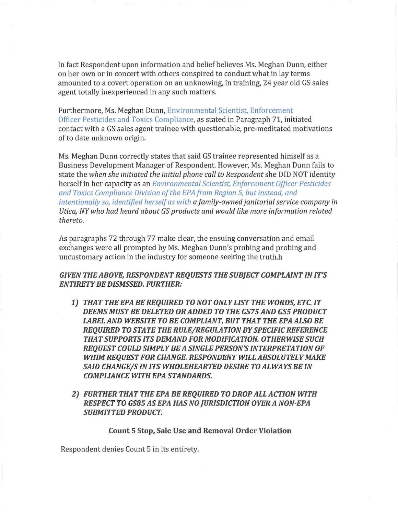In fact Respondent upon information and belief believes Ms. Meghan Dunn, either on her own or in concert with others conspired to conduct what in lay terms amounted to a covert operation on an unknowing, in training, 24 year old GS sales agent totally inexperienced in any such matters.

Furthermore, Ms. Meghan Dunn, Environmental Scientist, Enforcement Officer Pesticides and Toxics Compliance, as stated in Paragraph 71, initiated contact with a GS sales agent trainee with questionable, pre-meditated motivations of to date unknown origin.

Ms. Meghan Dunn correctly states that said GS trainee represented himself as a Business Development Manager of Respondent. However, Ms. Meghan Dunn fails to state the *when she initiated the initial phone call to Respondent* she DID NOT identity herself in her capacity as an *Environmental Scientist, Enforcement Officer Pesticides and Toxics Compliance Division of the EPA from Region 5, but instead, and intentionally so, identified herself as with a family-owned janitorial service company in Utica, NY who had heard about GS products and would like more information related thereto.* 

As paragraphs 72 through 77 make clear, the ensuing conversation and email exchanges were all prompted by Ms. Meghan Dunn's probing and probing and uncustomary action in the industry for someone seeking the truth.h

#### **GIVEN THE ABOVE, RESPONDENT REQUESTS THE SUBJECT COMPLAINT IN IT'S ENTIRETY BE DISMSSED. FURTHER:**

- **1) THAT THE EPA BE REQUIRED TO NOT ONLY LIST THE WORDS, ETC. IT DEEMS MUST BE DELETED OR ADDED TO THE GS75 AND GS5 PRODUCT LABEL AND WEBSITE TO BE COMPLIANT, BUT THAT THE EPA ALSO BE REQUIRED TO STATE THE RULE/REGULATION BY SPECIFIC REFERENCE THAT SUPPORTS ITS DEMAND FOR MOD/FICA TION. OTHERWISE SUCH REQUEST COULD SIMPLY BE A SINGLE PERSON'S INTERPRETATION OF WHIM REQUEST FOR CHANGE. RESPONDENT WILL ABSOLUTELY MAKE**  SAID CHANGE/S IN ITS WHOLEHEARTED DESIRE TO ALWAYS BE IN **COMPLIANCE WITH EPA STANDARDS.**
- **2) FURTHER THAT THE EPA BE REQUIRED TO DROP ALL ACTION WITH RESPECT TO GS85 AS EPA HAS NO JURISDICTION OVER A NON-EPA SUBMITTED PRODUCT.**

#### **Count 5 Stop, Sale Use and Removal Order Violation**

Respondent denies Count 5 in its entirety.